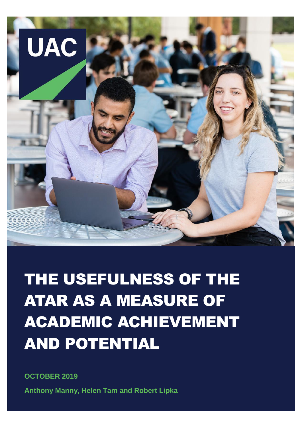

THE USEFULNESS OF THE ATAR AS A MEASURE OF ACADEMIC ACHIEVEMENT AND POTENTIAL

**OCTOBER 2019 Anthony Manny, Helen Tam and Robert Lipka**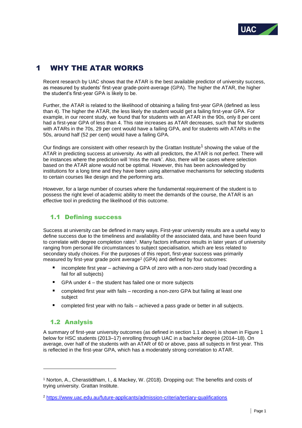

# 1 WHY THE ATAR WORKS

Recent research by UAC shows that the ATAR is the best available predictor of university success, as measured by students' first-year grade-point-average (GPA). The higher the ATAR, the higher the student's first-year GPA is likely to be.

Further, the ATAR is related to the likelihood of obtaining a failing first-year GPA (defined as less than 4). The higher the ATAR, the less likely the student would get a failing first-year GPA. For example, in our recent study, we found that for students with an ATAR in the 90s, only 8 per cent had a first-year GPA of less than 4. This rate increases as ATAR decreases, such that for students with ATARs in the 70s, 29 per cent would have a failing GPA, and for students with ATARs in the 50s, around half (52 per cent) would have a failing GPA.

Our findings are consistent with other research by the Grattan Institute<sup>1</sup> showing the value of the ATAR in predicting success at university. As with all predictors, the ATAR is not perfect. There will be instances where the prediction will 'miss the mark'. Also, there will be cases where selection based on the ATAR alone would not be optimal. However, this has been acknowledged by institutions for a long time and they have been using alternative mechanisms for selecting students to certain courses like design and the performing arts.

However, for a large number of courses where the fundamental requirement of the student is to possess the right level of academic ability to meet the demands of the course, the ATAR is an effective tool in predicting the likelihood of this outcome.

# 1.1 Defining success

Success at university can be defined in many ways. First-year university results are a useful way to define success due to the timeliness and availability of the associated data, and have been found to correlate with degree completion rates<sup>1</sup>. Many factors influence results in later years of university ranging from personal life circumstances to subject specialisation, which are less related to secondary study choices. For the purposes of this report, first-year success was primarily measured by first-year grade point average<sup>2</sup> (GPA) and defined by four outcomes:

- incomplete first year achieving a GPA of zero with a non-zero study load (recording a fail for all subjects)
- GPA under 4 the student has failed one or more subjects
- completed first year with fails recording a non-zero GPA but failing at least one subject
- completed first year with no fails achieved a pass grade or better in all subjects.

# 1.2 Analysis

-

A summary of first-year university outcomes (as defined in section 1.1 above) is shown in Figure 1 below for HSC students (2013–17) enrolling through UAC in a bachelor degree (2014–18). On average, over half of the students with an ATAR of 60 or above, pass all subjects in first year. This is reflected in the first-year GPA, which has a moderately strong correlation to ATAR.

<sup>1</sup> Norton, A., Cherastidtham, I., & Mackey, W. (2018). Dropping out: The benefits and costs of trying university. Grattan Institute.

<sup>2</sup> <https://www.uac.edu.au/future-applicants/admission-criteria/tertiary-qualifications>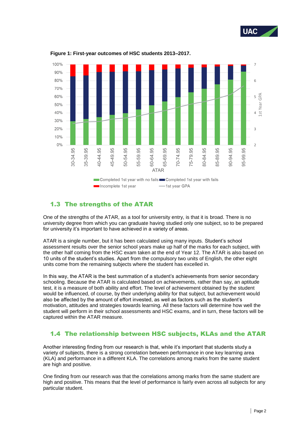



**Figure 1: First-year outcomes of HSC students 2013–2017.**

### 1.3 The strengths of the ATAR

One of the strengths of the ATAR, as a tool for university entry, is that it is broad. There is no university degree from which you can graduate having studied only one subject, so to be prepared for university it's important to have achieved in a variety of areas.

ATAR is a single number, but it has been calculated using many inputs. Student's school assessment results over the senior school years make up half of the marks for each subject, with the other half coming from the HSC exam taken at the end of Year 12. The ATAR is also based on 10 units of the student's studies. Apart from the compulsory two units of English, the other eight units come from the remaining subjects where the student has excelled in.

In this way, the ATAR is the best summation of a student's achievements from senior secondary schooling. Because the ATAR is calculated based on achievements, rather than say, an aptitude test, it is a measure of both ability and effort. The level of achievement obtained by the student would be influenced, of course, by their underlying ability for that subject, but achievement would also be affected by the amount of effort invested, as well as factors such as the student's motivation, attitudes and strategies towards learning. All these factors will determine how well the student will perform in their school assessments and HSC exams, and in turn, these factors will be captured within the ATAR measure.

### 1.4 The relationship between HSC subjects, KLAs and the ATAR

Another interesting finding from our research is that, while it's important that students study a variety of subjects, there is a strong correlation between performance in one key learning area (KLA) and performance in a different KLA. The correlations among marks from the same student are high and positive.

One finding from our research was that the correlations among marks from the same student are high and positive. This means that the level of performance is fairly even across all subjects for any particular student.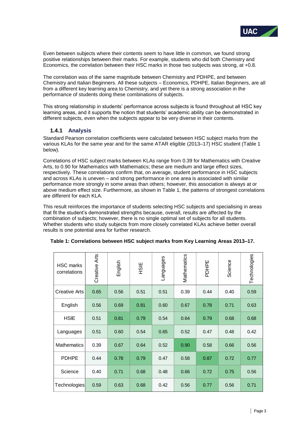

Even between subjects where their contents seem to have little in common, we found strong positive relationships between their marks. For example, students who did both Chemistry and Economics, the correlation between their HSC marks in those two subjects was strong, at +0.8.

The correlation was of the same magnitude between Chemistry and PDHPE, and between Chemistry and Italian Beginners. All these subjects – Economics, PDHPE, Italian Beginners, are all from a different key learning area to Chemistry, and yet there is a strong association in the performance of students doing these combinations of subjects.

This strong relationship in students' performance across subjects is found throughout all HSC key learning areas, and it supports the notion that students' academic ability can be demonstrated in different subjects, even when the subjects appear to be very diverse in their contents.

#### **1.4.1 Analysis**

Standard Pearson correlation coefficients were calculated between HSC subject marks from the various KLAs for the same year and for the same ATAR eligible (2013–17) HSC student (Table 1 below).

Correlations of HSC subject marks between KLAs range from 0.39 for Mathematics with Creative Arts, to 0.90 for Mathematics with Mathematics; these are medium and large effect sizes, respectively. These correlations confirm that, on average, student performance in HSC subjects and across KLAs is uneven – and strong performance in one area is associated with similar performance more strongly in some areas than others; however, this association is always at or above medium effect size. Furthermore, as shown in Table 1, the patterns of strongest correlations are different for each KLA.

This result reinforces the importance of students selecting HSC subjects and specialising in areas that fit the student's demonstrated strengths because, overall, results are affected by the combination of subjects; however, there is no single optimal set of subjects for all students. Whether students who study subjects from more closely correlated KLAs achieve better overall results is one potential area for further research.

| <b>HSC</b> marks<br>correlations | Creative Arts | English | 3H<br>空 | cappenbue | Mathematics | PDHPE | Science | Technologies |
|----------------------------------|---------------|---------|---------|-----------|-------------|-------|---------|--------------|
| <b>Creative Arts</b>             | 0.65          | 0.56    | 0.51    | 0.51      | 0.39        | 0.44  | 0.40    | 0.59         |
| English                          | 0.56          | 0.69    | 0.81    | 0.60      | 0.67        | 0.78  | 0.71    | 0.63         |
| <b>HSIE</b>                      | 0.51          | 0.81    | 0.79    | 0.54      | 0.64        | 0.79  | 0.68    | 0.68         |
| Languages                        | 0.51          | 0.60    | 0.54    | 0.65      | 0.52        | 0.47  | 0.48    | 0.42         |
| <b>Mathematics</b>               | 0.39          | 0.67    | 0.64    | 0.52      | 0.90        | 0.58  | 0.66    | 0.56         |
| <b>PDHPE</b>                     | 0.44          | 0.78    | 0.79    | 0.47      | 0.58        | 0.87  | 0.72    | 0.77         |
| Science                          | 0.40          | 0.71    | 0.68    | 0.48      | 0.66        | 0.72  | 0.75    | 0.56         |
| Technologies                     | 0.59          | 0.63    | 0.68    | 0.42      | 0.56        | 0.77  | 0.56    | 0.71         |

#### **Table 1: Correlations between HSC subject marks from Key Learning Areas 2013–17.**